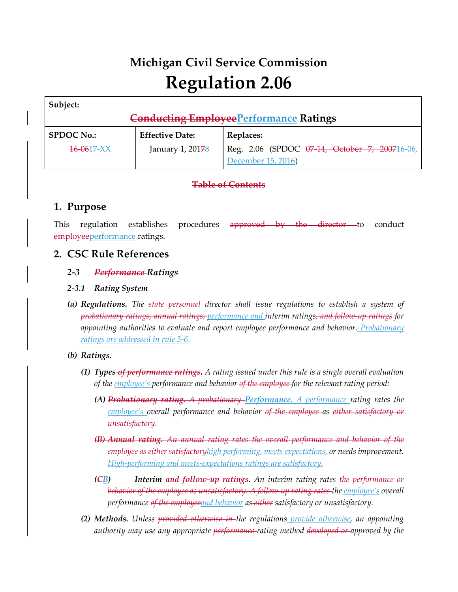# **Michigan Civil Service Commission Regulation 2.06**

| Subject:          |                                                |                                               |
|-------------------|------------------------------------------------|-----------------------------------------------|
|                   | <b>Conducting Employee Performance Ratings</b> |                                               |
| <b>SPDOC No.:</b> | <b>Effective Date:</b>                         | Replaces:                                     |
| $16 - 0617 - XX$  | January 1, 20178                               | Reg. 2.06 (SPDOC 07-14, October 7, 200716-06, |
|                   |                                                | December 15, 2016)                            |

# **Table of Contents**

# **1. Purpose**

This regulation establishes procedures approved by the director to conduct employeeperformance ratings.

# **2. CSC Rule References**

## *2-3 Performance Ratings*

## *2-3.1 Rating System*

*(a) Regulations. The state personnel director shall issue regulations to establish a system of probationary ratings, annual ratings, performance and interim ratings, and follow-up ratings for appointing authorities to evaluate and report employee performance and behavior. Probationary ratings are addressed in rule 3-6.*

*(b) Ratings.*

- *(1) Types of performance ratings. A rating issued under this rule is a single overall evaluation of the employee's performance and behavior of the employee for the relevant rating period:*
	- *(A) Probationary rating. A probationary Performance. A performance rating rates the employee's overall performance and behavior of the employee as either satisfactory or unsatisfactory.*
	- *(B) Annual rating. An annual rating rates the overall performance and behavior of the employee as either satisfactoryhigh performing, meets expectations, or needs improvement. High-performing and meets-expectations ratings are satisfactory.*
	- *(CB) Interim and follow-up ratings. An interim rating rates the performance or behavior of the employee as unsatisfactory. A follow-up rating rates the employee's overall performance of the employeeand behavior as either satisfactory or unsatisfactory.*
- *(2) Methods. Unless provided otherwise in the regulations provide otherwise, an appointing authority may use any appropriate performance rating method developed or approved by the*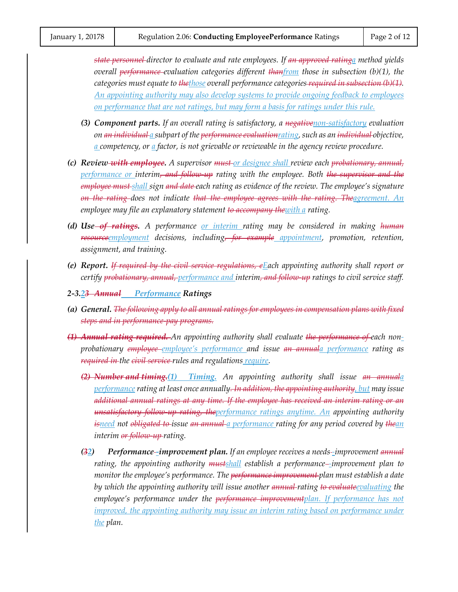*state personnel director to evaluate and rate employees. If an approved ratinga method yields overall performance evaluation categories different thanfrom those in subsection (b)(1), the categories must equate to thethose overall performance categories required in subsection (b)(1). An appointing authority may also develop systems to provide ongoing feedback to employees on performance that are not ratings, but may form a basis for ratings under this rule.*

- *(3) Component parts. If an overall rating is satisfactory, a negativenon-satisfactory evaluation on an individual a subpart of the performance evaluationrating, such as an individual objective, a competency, or a factor, is not grievable or reviewable in the agency review procedure.*
- *(c) Review with employee. A supervisor must or designee shall review each probationary, annual, performance or interim, and follow-up rating with the employee. Both the supervisor and the employee must shall sign and date each rating as evidence of the review. The employee's signature on the rating does not indicate that the employee agrees with the rating. Theagreement. An employee may file an explanatory statement to accompany thewith a rating.*
- *(d) Use of ratings. A performance or interim rating may be considered in making human resourceemployment decisions, including, for example appointment, promotion, retention, assignment, and training.*
- *(e) Report. If required by the civil service regulations, eEach appointing authority shall report or certify probationary, annual, performance and interim, and follow-up ratings to civil service staff.*
- *2-3.23 Annual Performance Ratings*
- *(a) General. The following apply to all annual ratings for employees in compensation plans with fixed steps and in performance-pay programs.*
- *(1) Annual rating required. An appointing authority shall evaluate the performance of each nonprobationary employee employee's performance and issue an annuala performance rating as required in the civil service rules and regulations require.*
	- *(2) Number and timing.(1) Timing. An appointing authority shall issue an annuala performance rating at least once annually. In addition, the appointing authority, but may issue additional annual ratings at any time. If the employee has received an interim rating or an unsatisfactory follow-up rating, theperformance ratings anytime. An appointing authority isneed not obligated to issue an annual a performance rating for any period covered by thean interim or follow-up rating.*
	- *(32) Performance -improvement plan. If an employee receives a needs -improvement annual rating, the appointing authority mustshall establish a performance -improvement plan to monitor the employee's performance. The performance improvement plan must establish a date by which the appointing authority will issue another annual rating to evaluateevaluating the*  employee's performance under the <del>performance improvement</del>plan. If performance has not *improved, the appointing authority may issue an interim rating based on performance under the plan.*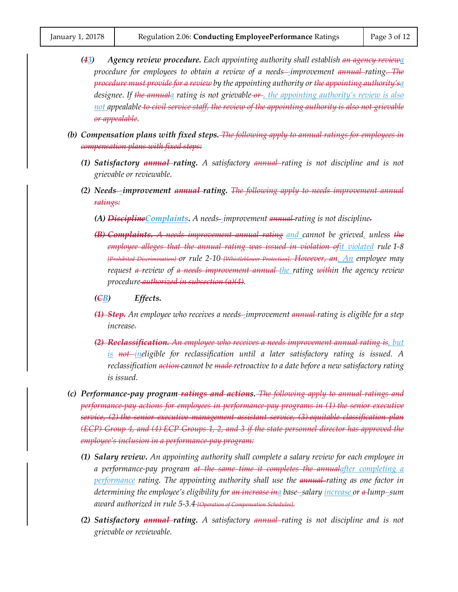- *(43) Agency review procedure. Each appointing authority shall establish an agency reviewa procedure for employees to obtain a review of a needs -improvement annual rating. The procedure must provide for a review by the appointing authority or the appointing authority'sa designee. If the annuala rating is not grievable or , the appointing authority's review is also not appealable to civil service staff, the review of the appointing authority is also not grievable or appealable.*
- *(b) Compensation plans with fixed steps. The following apply to annual ratings for employees in compensation plans with fixed steps:*
	- *(1) Satisfactory annual rating. A satisfactory annual rating is not discipline and is not grievable or reviewable.*
	- *(2) Needs -improvement annual rating. The following apply to needs improvement annual ratings:*
		- *(A) DisciplineComplaints. A needs -improvement annual rating is not discipline.*
		- *(B) Complaints. A needs improvement annual rating and cannot be grieved, unless the employee alleges that the annual rating was issued in violation ofit violated rule 1-8 [Prohibited Discrimination] or rule 2-10 [Whistleblower Protection]. However, an. An employee may request a review of a needs improvement annual the rating within the agency review procedure authorized in subsection (a)(4).*
		- *(CB) Effects.*
		- *(1) Step. An employee who receives a needs -improvement annual rating is eligible for a step increase.*
		- *(2) Reclassification. An employee who receives a needs improvement annual rating is, but is not ineligible for reclassification until a later satisfactory rating is issued. A reclassification action cannot be made retroactive to a date before a new satisfactory rating is issued.*
- *(c) Performance-pay program ratings and actions. The following apply to annual ratings and performance-pay actions for employees in performance-pay programs in (1) the senior executive service, (2) the senior executive management assistant service, (3) equitable classification plan (ECP) Group 4, and (4) ECP Groups 1, 2, and 3 if the state personnel director has approved the employee's inclusion in a performance-pay program:*
	- *(1) Salary review. An appointing authority shall complete a salary review for each employee in a performance-pay program at the same time it completes the annualafter completing a performance rating. The appointing authority shall use the annual rating as one factor in determining the employee's eligibility for an increase ina base -salary increase or a lump -sum award authorized in rule 5-3.4 [Operation of Compensation Schedules].*
	- *(2) Satisfactory annual rating. A satisfactory annual rating is not discipline and is not grievable or reviewable.*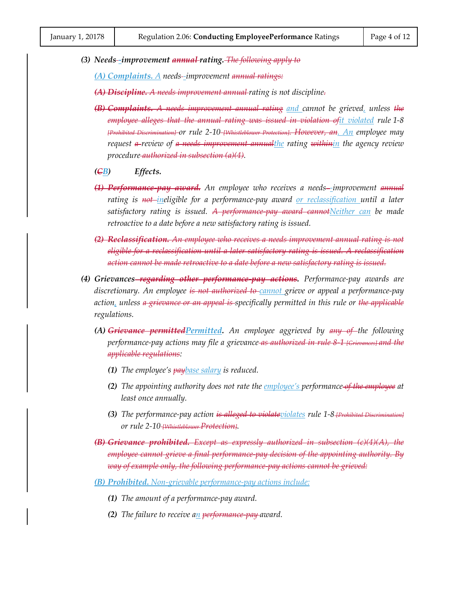*(3) Needs -improvement annual rating. The following apply to*

*(A) Complaints. A needs -improvement annual ratings:*

*(A) Discipline. A needs improvement annual rating is not discipline.*

- *(B) Complaints. A needs improvement annual rating and cannot be grieved, unless the employee alleges that the annual rating was issued in violation ofit violated rule 1-8 [Prohibited Discrimination] or rule 2-10 [Whistleblower Protection]. However, an. An employee may request a review of a needs improvement annualthe rating withinin the agency review procedure authorized in subsection (a)(4).*
- *(CB) Effects.*
- *(1) Performance-pay award. An employee who receives a needs -improvement annual rating is not ineligible for a performance-pay award or reclassification until a later satisfactory rating is issued. A performance-pay award cannotNeither can be made retroactive to a date before a new satisfactory rating is issued.*
- *(2) Reclassification. An employee who receives a needs improvement annual rating is not eligible for a reclassification until a later satisfactory rating is issued. A reclassification action cannot be made retroactive to a date before a new satisfactory rating is issued.*
- *(4) Grievances regarding other performance-pay actions. Performance-pay awards are discretionary. An employee is not authorized to cannot grieve or appeal a performance-pay action, unless a grievance or an appeal is specifically permitted in this rule or the applicable regulations.*
	- *(A) Grievance permittedPermitted. An employee aggrieved by any of the following performance-pay actions may file a grievance as authorized in rule 8-1 [Grievances] and the applicable regulations:*
		- *(1) The employee's paybase salary is reduced.*
		- *(2) The appointing authority does not rate the employee's performance of the employee at least once annually.*
		- *(3) The performance-pay action is alleged to violateviolates rule 1-8 [Prohibited Discrimination] or rule 2-10 [Whistleblower Protection].*
	- *(B) Grievance prohibited. Except as expressly authorized in subsection (c)(4)(A), the employee cannot grieve a final performance-pay decision of the appointing authority. By way of example only, the following performance-pay actions cannot be grieved:*
	- *(B) Prohibited. Non-grievable performance-pay actions include:*
		- *(1) The amount of a performance-pay award.*
		- *(2) The failure to receive an performance-pay award.*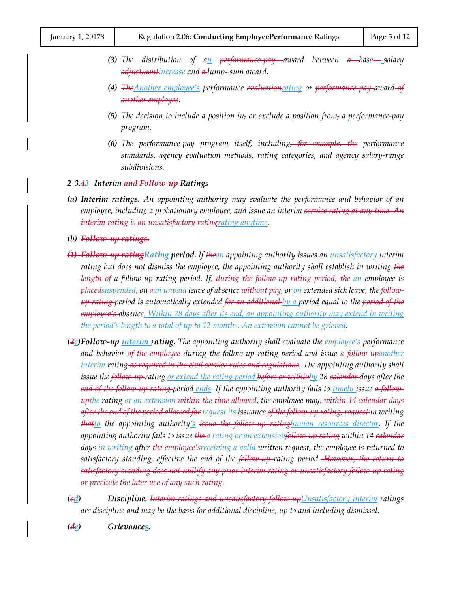- *(3) The distribution of an performance-pay award between a base -salary adjustmentincrease and a lump -sum award.*
- *(4) TheAnother employee's performance evaluationrating or performance-pay award of another employee.*
- *(5) The decision to include a position in, or exclude a position from, a performance-pay program.*
- *(6) The performance-pay program itself, including, for example, the performance standards, agency evaluation methods, rating categories, and agency salary-range subdivisions.*

*2-3.43 Interim and Follow-up Ratings*

- *(a) Interim ratings. An appointing authority may evaluate the performance and behavior of an employee, including a probationary employee, and issue an interim service rating at any time. An interim rating is an unsatisfactory ratingrating anytime.*
- *(b) Follow-up ratings.*
- *(1) Follow-up ratingRating period. If thean appointing authority issues an unsatisfactory interim rating but does not dismiss the employee, the appointing authority shall establish in writing the length of a follow-up rating period. If, during the follow-up rating period, the an employee is placedsuspended, on aan unpaid leave of absence without pay, or on extended sick leave, the followup rating period is automatically extended for an additional by a period equal to the period of the employee's absence. Within 28 days after its end, an appointing authority may extend in writing the period's length to a total of up to 12 months. An extension cannot be grieved.*
- *(2c)Follow-up interim rating. The appointing authority shall evaluate the employee's performance and behavior of the employee during the follow-up rating period and issue a follow-upanother interim rating as required in the civil service rules and regulations. The appointing authority shall issue the follow-up rating or extend the rating period before or withinby 28 calendar days after the end of the follow-up rating period ends. If the appointing authority fails to timely issue a followupthe rating or an extension within the time allowed, the employee may, within 14 calendar days after the end of the period allowed for request its issuance of the follow-up rating, request in writing thatto the appointing authority's issue the follow-up ratinghuman resources director. If the appointing authority fails to issue the a rating or an extensionfollow-up rating within 14 calendar days in writing after the employee'sreceiving a valid written request, the employee is returned to satisfactory standing, effective the end of the follow-up rating period. However, the return to satisfactory standing does not nullify any prior interim rating or unsatisfactory follow-up rating or preclude the later use of any such rating.*
- *(cd) Discipline. Interim ratings and unsatisfactory follow-upUnsatisfactory interim ratings are discipline and may be the basis for additional discipline, up to and including dismissal.*

*(de) Grievances.*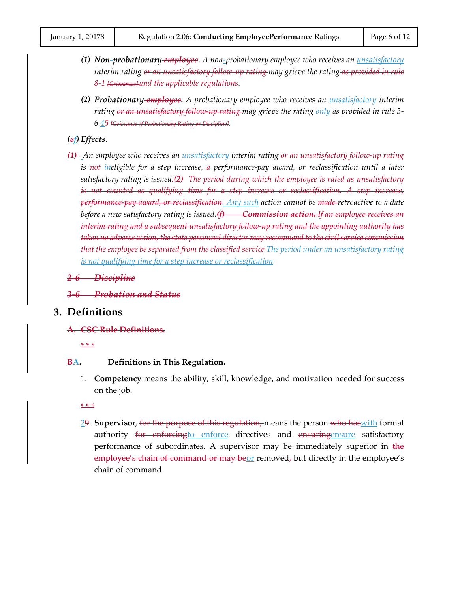- *(1) Non-probationary employee. A non-probationary employee who receives an unsatisfactory interim rating or an unsatisfactory follow-up rating may grieve the rating as provided in rule 8-1 [Grievances] and the applicable regulations.*
- *(2) Probationary employee. A probationary employee who receives an unsatisfactory interim rating or an unsatisfactory follow-up rating may grieve the rating only as provided in rule 3- 6.45 [Grievance of Probationary Rating or Discipline].*

#### *(ef) Effects.*

- *(1) An employee who receives an unsatisfactory interim rating or an unsatisfactory follow-up rating is not ineligible for a step increase, a performance-pay award, or reclassification until a later satisfactory rating is issued.(2) The period during which the employee is rated as unsatisfactory is not counted as qualifying time for a step increase or reclassification. A step increase, performance-pay award, or reclassification. Any such action cannot be made retroactive to a date before a new satisfactory rating is issued.(f) Commission action. If an employee receives an interim rating and a subsequent unsatisfactory follow-up rating and the appointing authority has taken no adverse action, the state personnel director may recommend to the civil service commission that the employee be separated from the classified service The period under an unsatisfactory rating is not qualifying time for a step increase or reclassification.*
- *2-6 Discipline*
- *3-6 Probation and Status*

## **3. Definitions**

**A. CSC Rule Definitions.**

\* \* \*

#### **BA. Definitions in This Regulation.**

1. **Competency** means the ability, skill, knowledge, and motivation needed for success on the job.

\* \* \*

29. **Supervisor**, for the purpose of this regulation, means the person who haswith formal authority for enforcing to enforce directives and ensuringensure satisfactory performance of subordinates. A supervisor may be immediately superior in the  $employee's chain of command or may be or removed, but directly in the employee's$ chain of command.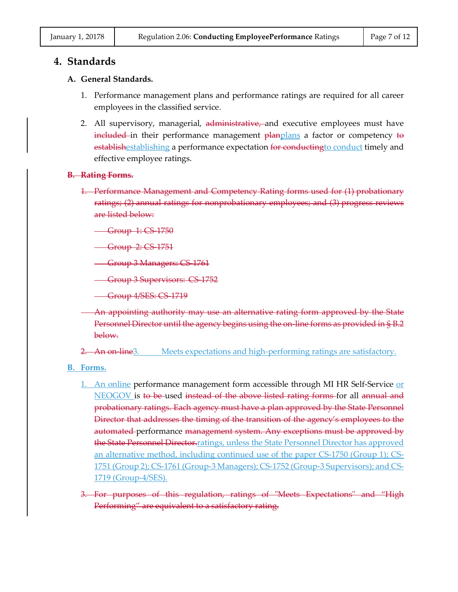### **4. Standards**

#### **A. General Standards.**

- 1. Performance management plans and performance ratings are required for all career employees in the classified service.
- 2. All supervisory, managerial, administrative, and executive employees must have included in their performance management planplans a factor or competency to establishestablishing a performance expectation for conducting to conduct timely and effective employee ratings.

#### **B. Rating Forms.**

1. Performance Management and Competency Rating forms used for (1) probationary ratings; (2) annual ratings for nonprobationary employees; and (3) progress reviews are listed below:

**Group 1: CS 1750** 

**Group 2: CS 1751** 

Group 3 Managers: CS 1761

**Group 3 Supervisors: CS 1752** 

Group 4/SES: CS-1719

An appointing authority may use an alternative rating form approved by the State Personnel Director until the agency begins using the on-line forms as provided in § B.2 below.

2. An on-line3. Meets expectations and high-performing ratings are satisfactory.

- **B. Forms.**
	- 1. An online performance management form accessible through MI HR Self-Service or NEOGOV is to be-used instead of the above listed rating forms for all annual and probationary ratings. Each agency must have a plan approved by the State Personnel Director that addresses the timing of the transition of the agency's employees to the automated performance management system. Any exceptions must be approved by the State Personnel Director.ratings, unless the State Personnel Director has approved an alternative method, including continued use of the paper CS-1750 (Group 1); CS-1751 (Group 2); CS-1761 (Group-3 Managers); CS-1752 (Group-3 Supervisors); and CS-1719 (Group-4/SES).
	- 3. For purposes of this regulation, ratings of "Meets Expectations" and "High Performing" are equivalent to a satisfactory rating.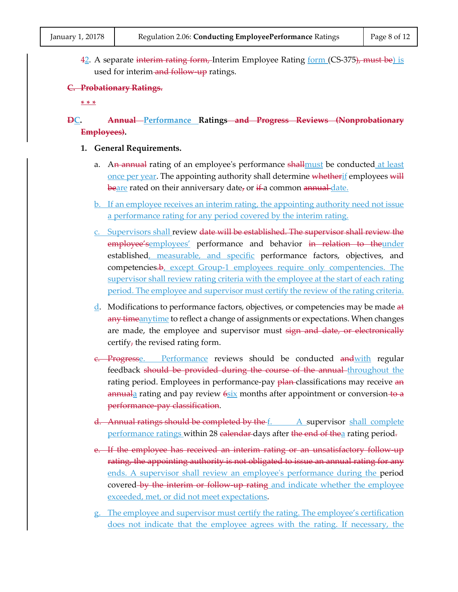$42.$  A separate interim rating form, Interim Employee Rating form (CS-375), must be) is used for interim-and follow-up ratings.

#### **C. Probationary Ratings.**

**\* \* \***

## **DC. Annual Performance Ratings and Progress Reviews (Nonprobationary Employees).**

- **1. General Requirements.**
	- a. An annual rating of an employee's performance shall must be conducted at least once per year. The appointing authority shall determine whetherif employees will  $\frac{\text{beare}}{\text{area}}$  rated on their anniversary date, or if a common annual date.
	- b. If an employee receives an interim rating, the appointing authority need not issue a performance rating for any period covered by the interim rating.
	- c. Supervisors shall review date will be established. The supervisor shall review the employee'semployees' performance and behavior in relation to theunder established, measurable, and specific performance factors, objectives, and competencies.b, except Group-1 employees require only compentencies. The supervisor shall review rating criteria with the employee at the start of each rating period. The employee and supervisor must certify the review of the rating criteria.
	- d. Modifications to performance factors, objectives, or competencies may be made  $a\ddagger$ any timeanytime to reflect a change of assignments or expectations. When changes are made, the employee and supervisor must sign and date, or electronically certify, the revised rating form.
	- <del>c. Progresse. Performance reviews should be conducted and with regular</del> feedback should be provided during the course of the annual throughout the rating period. Employees in performance-pay plan-classifications may receive an  $a$ nnuala rating and pay review  $6s$ ix months after appointment or conversion to a performance-pay classification.
	- d. Annual ratings should be completed by the  $f$ . A supervisor shall complete performance ratings within 28 calendar days after the end of thea rating period.
	- e. If the employee has received an interim rating or an unsatisfactory follow up rating, the appointing authority is not obligated to issue an annual rating for any ends. A supervisor shall review an employee's performance during the period covered by the interim or follow up rating and indicate whether the employee exceeded, met, or did not meet expectations.
	- g. The employee and supervisor must certify the rating. The employee's certification does not indicate that the employee agrees with the rating. If necessary, the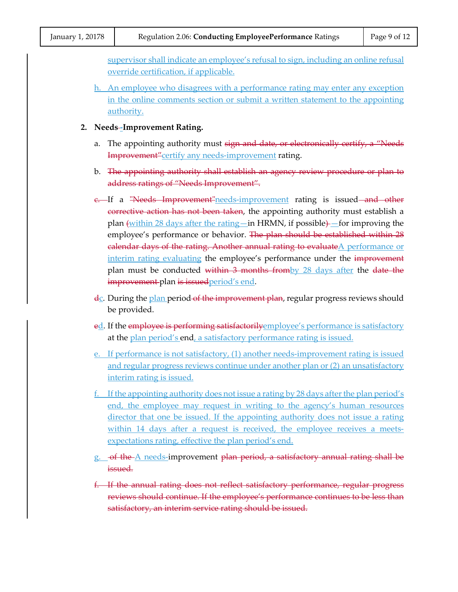supervisor shall indicate an employee's refusal to sign, including an online refusal override certification, if applicable.

- h. An employee who disagrees with a performance rating may enter any exception in the online comments section or submit a written statement to the appointing authority.
- **2. Needs -Improvement Rating.**
	- a. The appointing authority must sign and date, or electronically certify, a "Needs Improvement" certify any needs-improvement rating.
	- b. The appointing authority shall establish an agency review procedure or plan to address ratings of "Needs Improvement".
	- e. If a "Needs Improvement" needs-improvement rating is issued and other corrective action has not been taken, the appointing authority must establish a plan (within 28 days after the rating—in HRMN, if possible)—for improving the employee's performance or behavior. The plan should be established within 28 calendar days of the rating. Another annual rating to evaluateA performance or interim rating evaluating the employee's performance under the improvement plan must be conducted within 3 months from by 28 days after the date the **improvement-plan is issued** period's end.
	- dc. During the plan period of the improvement plan, regular progress reviews should be provided.
	- ed. If the employee is performing satisfactorilyemployee's performance is satisfactory at the plan period's end, a satisfactory performance rating is issued.
	- e. If performance is not satisfactory, (1) another needs-improvement rating is issued and regular progress reviews continue under another plan or (2) an unsatisfactory interim rating is issued.
	- f. If the appointing authority does not issue a rating by 28 days after the plan period's end, the employee may request in writing to the agency's human resources director that one be issued. If the appointing authority does not issue a rating within 14 days after a request is received, the employee receives a meetsexpectations rating, effective the plan period's end.
	- g. of the A needs-improvement plan period, a satisfactory annual rating shall be issued.
	- f. If the annual rating does not reflect satisfactory performance, regular progress reviews should continue. If the employee's performance continues to be less than satisfactory, an interim service rating should be issued.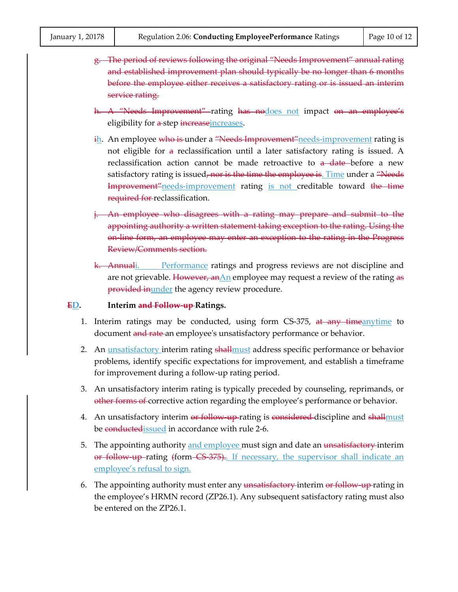- g. The period of reviews following the original "Needs Improvement" annual rating and established improvement plan should typically be no longer than 6 months before the employee either receives a satisfactory rating or is issued an interim service rating.
- h. A "Needs Improvement" rating has nodoes not impact on an employee's eligibility for a step increaseincreases.
- ih. An employee who is under a "Needs Improvement" needs-improvement rating is not eligible for a reclassification until a later satisfactory rating is issued. A reclassification action cannot be made retroactive to a date-before a new satisfactory rating is issued, nor is the time the employee is. Time under a "Needs" Improvement"needs-improvement rating is not creditable toward the time required for reclassification.
- j. An employee who disagrees with a rating may prepare and submit to the appointing authority a written statement taking exception to the rating. Using the on-line form, an employee may enter an exception to the rating in the Progress Review/Comments section.
- k. Annuali. Performance ratings and progress reviews are not discipline and are not grievable. However,  $anAn$  employee may request a review of the rating as provided inunder the agency review procedure.

#### **ED. Interim and Follow-up Ratings.**

- 1. Interim ratings may be conducted, using form CS-375, at any timeanytime to document and rate an employee's unsatisfactory performance or behavior.
- 2. An unsatisfactory interim rating shall must address specific performance or behavior problems, identify specific expectations for improvement, and establish a timeframe for improvement during a follow-up rating period.
- 3. An unsatisfactory interim rating is typically preceded by counseling, reprimands, or other forms of corrective action regarding the employee's performance or behavior.
- 4. An unsatisfactory interim or follow up-rating is considered discipline and shallmust be conductedissued in accordance with rule 2-6.
- 5. The appointing authority and employee must sign and date an <del>unsatisfactory</del> interim or follow up rating (form CS-375). If necessary, the supervisor shall indicate an employee's refusal to sign.
- 6. The appointing authority must enter any unsatisfactory interim or follow-up-rating in the employee's HRMN record (ZP26.1). Any subsequent satisfactory rating must also be entered on the ZP26.1.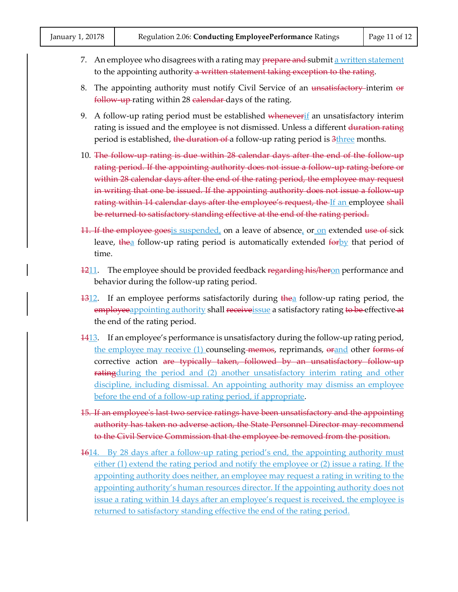- 7. An employee who disagrees with a rating may prepare and submit a written statement to the appointing authority a written statement taking exception to the rating.
- 8. The appointing authority must notify Civil Service of an unsatisfactory-interim or follow up rating within 28 calendar days of the rating.
- 9. A follow-up rating period must be established wheneverif an unsatisfactory interim rating is issued and the employee is not dismissed. Unless a different duration rating period is established, the duration of a follow-up rating period is 3three months.
- 10. The follow up rating is due within 28 calendar days after the end of the follow up rating period. If the appointing authority does not issue a follow-up rating before or within 28 calendar days after the end of the rating period, the employee may request in writing that one be issued. If the appointing authority does not issue a follow-up rating within 14 calendar days after the employee's request, the If an employee shall be returned to satisfactory standing effective at the end of the rating period.
- 11. If the employee goes is suspended, on a leave of absence, or on extended use of sick leave, thea follow-up rating period is automatically extended forby that period of time.
- 1211. The employee should be provided feedback regarding his/heron performance and behavior during the follow-up rating period.
- 1312. If an employee performs satisfactorily during thea follow-up rating period, the employeeappointing authority shall receiveissue a satisfactory rating to be effective at the end of the rating period.
- 1413. If an employee's performance is unsatisfactory during the follow-up rating period, the employee may receive (1) counseling memos, reprimands, orand other forms of corrective action are typically taken, followed by an unsatisfactory follow-up **rating** during the period and (2) another unsatisfactory interim rating and other discipline, including dismissal. An appointing authority may dismiss an employee before the end of a follow-up rating period, if appropriate.
- 15. If an employee's last two service ratings have been unsatisfactory and the appointing authority has taken no adverse action, the State Personnel Director may recommend to the Civil Service Commission that the employee be removed from the position.
- 1614. By 28 days after a follow-up rating period's end, the appointing authority must either (1) extend the rating period and notify the employee or (2) issue a rating. If the appointing authority does neither, an employee may request a rating in writing to the appointing authority's human resources director. If the appointing authority does not issue a rating within 14 days after an employee's request is received, the employee is returned to satisfactory standing effective the end of the rating period.